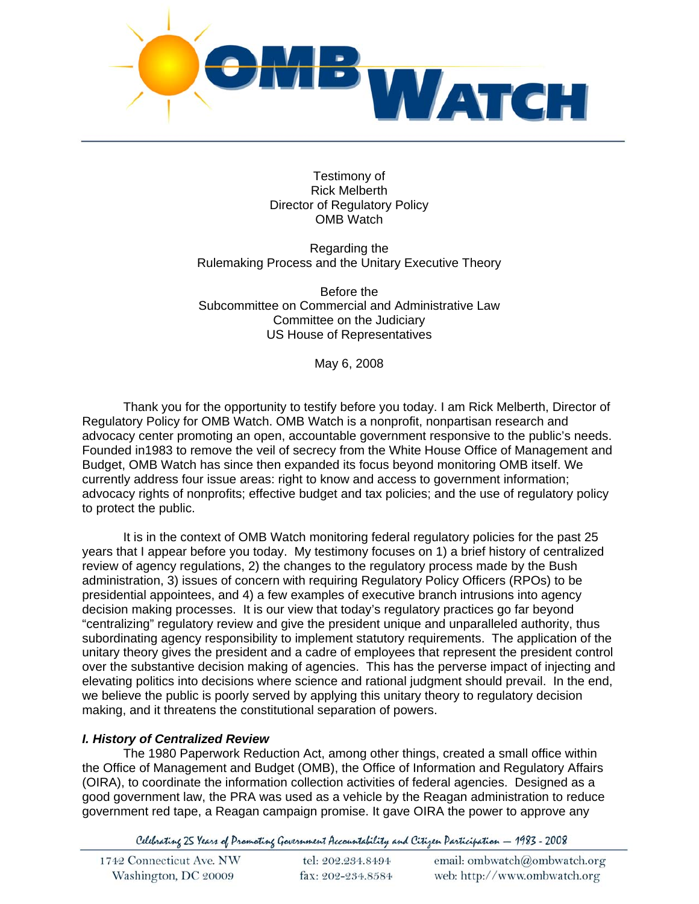

Testimony of Rick Melberth Director of Regulatory Policy OMB Watch

Regarding the Rulemaking Process and the Unitary Executive Theory

Before the Subcommittee on Commercial and Administrative Law Committee on the Judiciary US House of Representatives

May 6, 2008

Thank you for the opportunity to testify before you today. I am Rick Melberth, Director of Regulatory Policy for OMB Watch. OMB Watch is a nonprofit, nonpartisan research and advocacy center promoting an open, accountable government responsive to the public's needs. Founded in1983 to remove the veil of secrecy from the White House Office of Management and Budget, OMB Watch has since then expanded its focus beyond monitoring OMB itself. We currently address four issue areas: right to know and access to government information; advocacy rights of nonprofits; effective budget and tax policies; and the use of regulatory policy to protect the public.

 It is in the context of OMB Watch monitoring federal regulatory policies for the past 25 years that I appear before you today. My testimony focuses on 1) a brief history of centralized review of agency regulations, 2) the changes to the regulatory process made by the Bush administration, 3) issues of concern with requiring Regulatory Policy Officers (RPOs) to be presidential appointees, and 4) a few examples of executive branch intrusions into agency decision making processes. It is our view that today's regulatory practices go far beyond "centralizing" regulatory review and give the president unique and unparalleled authority, thus subordinating agency responsibility to implement statutory requirements. The application of the unitary theory gives the president and a cadre of employees that represent the president control over the substantive decision making of agencies. This has the perverse impact of injecting and elevating politics into decisions where science and rational judgment should prevail. In the end, we believe the public is poorly served by applying this unitary theory to regulatory decision making, and it threatens the constitutional separation of powers.

### *I. History of Centralized Review*

 The 1980 Paperwork Reduction Act, among other things, created a small office within the Office of Management and Budget (OMB), the Office of Information and Regulatory Affairs (OIRA), to coordinate the information collection activities of federal agencies. Designed as a good government law, the PRA was used as a vehicle by the Reagan administration to reduce government red tape, a Reagan campaign promise. It gave OIRA the power to approve any

Celebrating 25 Years of Promoting Government Accountability and Citizen Participation - 1983 - 2008

| 1742 Connecticut Ave. NW | tel: 202.234.8494 | email: ombwatch@ombwatch.org |
|--------------------------|-------------------|------------------------------|
| Washington, DC 20009     | fax: 202-234.8584 | web: http://www.ombwatch.org |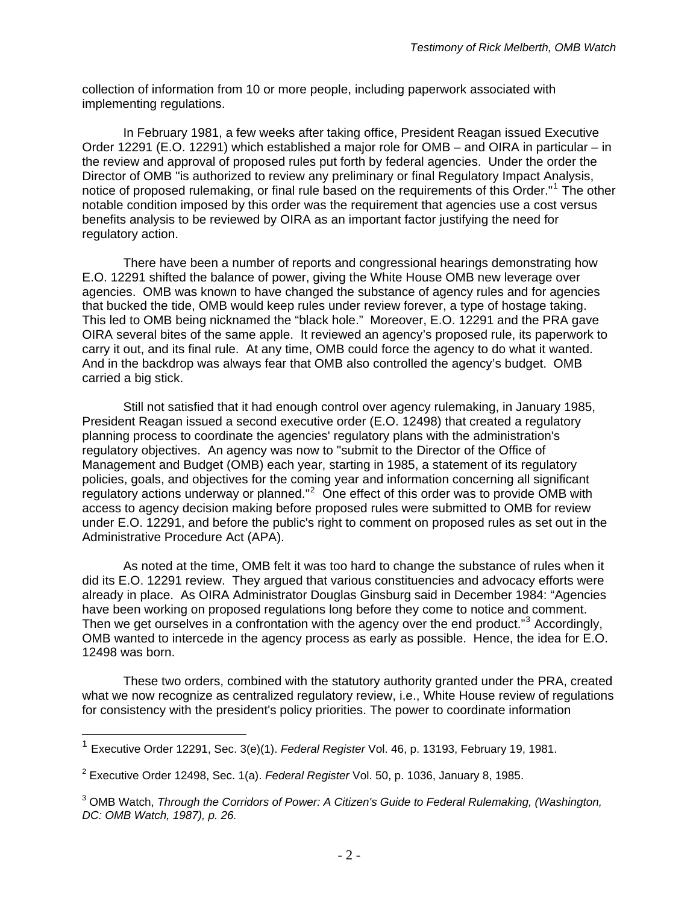collection of information from 10 or more people, including paperwork associated with implementing regulations.

 In February 1981, a few weeks after taking office, President Reagan issued Executive Order 12291 (E.O. 12291) which established a major role for OMB – and OIRA in particular – in the review and approval of proposed rules put forth by federal agencies. Under the order the Director of OMB "is authorized to review any preliminary or final Regulatory Impact Analysis, notice of proposed rulemaking, or final rule based on the requirements of this Order."[1](#page-1-0) The other notable condition imposed by this order was the requirement that agencies use a cost versus benefits analysis to be reviewed by OIRA as an important factor justifying the need for regulatory action.

 There have been a number of reports and congressional hearings demonstrating how E.O. 12291 shifted the balance of power, giving the White House OMB new leverage over agencies. OMB was known to have changed the substance of agency rules and for agencies that bucked the tide, OMB would keep rules under review forever, a type of hostage taking. This led to OMB being nicknamed the "black hole." Moreover, E.O. 12291 and the PRA gave OIRA several bites of the same apple. It reviewed an agency's proposed rule, its paperwork to carry it out, and its final rule. At any time, OMB could force the agency to do what it wanted. And in the backdrop was always fear that OMB also controlled the agency's budget. OMB carried a big stick.

 Still not satisfied that it had enough control over agency rulemaking, in January 1985, President Reagan issued a second executive order (E.O. 12498) that created a regulatory planning process to coordinate the agencies' regulatory plans with the administration's regulatory objectives. An agency was now to "submit to the Director of the Office of Management and Budget (OMB) each year, starting in 1985, a statement of its regulatory policies, goals, and objectives for the coming year and information concerning all significant regulatory actions underway or planned." $2$  One effect of this order was to provide OMB with access to agency decision making before proposed rules were submitted to OMB for review under E.O. 12291, and before the public's right to comment on proposed rules as set out in the Administrative Procedure Act (APA).

 As noted at the time, OMB felt it was too hard to change the substance of rules when it did its E.O. 12291 review. They argued that various constituencies and advocacy efforts were already in place. As OIRA Administrator Douglas Ginsburg said in December 1984: "Agencies have been working on proposed regulations long before they come to notice and comment. Then we get ourselves in a confrontation with the agency over the end product."<sup>[3](#page-1-2)</sup> Accordingly, OMB wanted to intercede in the agency process as early as possible. Hence, the idea for E.O. 12498 was born.

 These two orders, combined with the statutory authority granted under the PRA, created what we now recognize as centralized regulatory review, i.e., White House review of regulations for consistency with the president's policy priorities. The power to coordinate information

<span id="page-1-0"></span><sup>1</sup> Executive Order 12291, Sec. 3(e)(1). *Federal Register* Vol. 46, p. 13193, February 19, 1981.

<span id="page-1-1"></span><sup>2</sup> Executive Order 12498, Sec. 1(a). *Federal Register* Vol. 50, p. 1036, January 8, 1985.

<span id="page-1-2"></span><sup>&</sup>lt;sup>3</sup> OMB Watch, *Through the Corridors of Power: A Citizen's Guide to Federal Rulemaking, (Washington, DC: OMB Watch, 1987), p. 26.*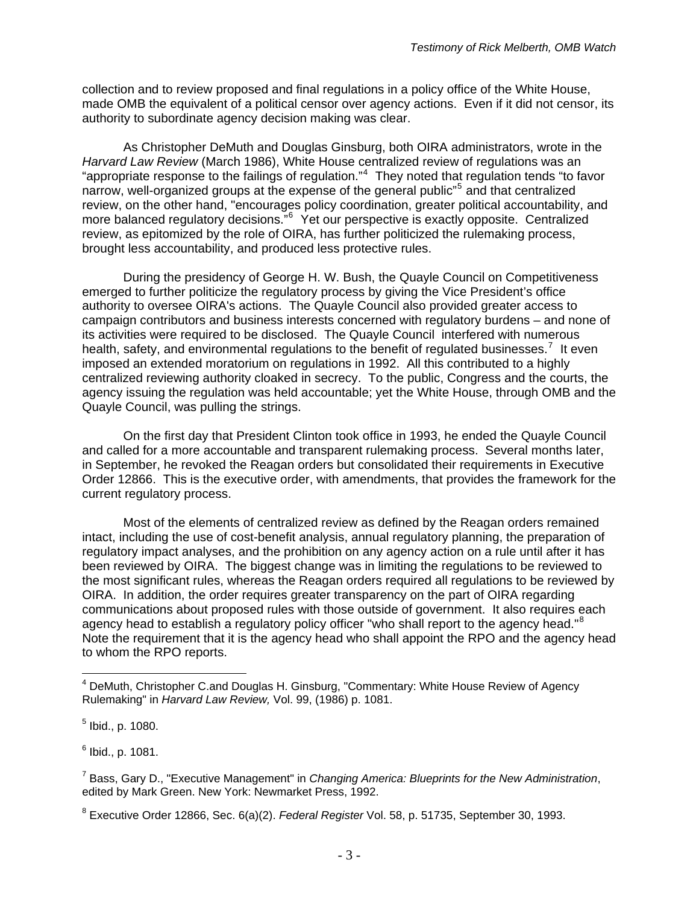collection and to review proposed and final regulations in a policy office of the White House, made OMB the equivalent of a political censor over agency actions. Even if it did not censor, its authority to subordinate agency decision making was clear.

 As Christopher DeMuth and Douglas Ginsburg, both OIRA administrators, wrote in the *Harvard Law Review* (March 1986), White House centralized review of regulations was an "appropriate response to the failings of regulation."<sup>[4](#page-2-0)</sup> They noted that regulation tends "to favor narrow, well-organized groups at the expense of the general public"<sup>[5](#page-2-1)</sup> and that centralized review, on the other hand, "encourages policy coordination, greater political accountability, and more balanced regulatory decisions."<sup>[6](#page-2-2)</sup> Yet our perspective is exactly opposite. Centralized review, as epitomized by the role of OIRA, has further politicized the rulemaking process, brought less accountability, and produced less protective rules.

 During the presidency of George H. W. Bush, the Quayle Council on Competitiveness emerged to further politicize the regulatory process by giving the Vice President's office authority to oversee OIRA's actions. The Quayle Council also provided greater access to campaign contributors and business interests concerned with regulatory burdens – and none of its activities were required to be disclosed. The Quayle Council interfered with numerous health, safety, and environmental regulations to the benefit of regulated businesses.<sup>[7](#page-2-3)</sup> It even imposed an extended moratorium on regulations in 1992. All this contributed to a highly centralized reviewing authority cloaked in secrecy. To the public, Congress and the courts, the agency issuing the regulation was held accountable; yet the White House, through OMB and the Quayle Council, was pulling the strings.

 On the first day that President Clinton took office in 1993, he ended the Quayle Council and called for a more accountable and transparent rulemaking process. Several months later, in September, he revoked the Reagan orders but consolidated their requirements in Executive Order 12866. This is the executive order, with amendments, that provides the framework for the current regulatory process.

Most of the elements of centralized review as defined by the Reagan orders remained intact, including the use of cost-benefit analysis, annual regulatory planning, the preparation of regulatory impact analyses, and the prohibition on any agency action on a rule until after it has been reviewed by OIRA. The biggest change was in limiting the regulations to be reviewed to the most significant rules, whereas the Reagan orders required all regulations to be reviewed by OIRA. In addition, the order requires greater transparency on the part of OIRA regarding communications about proposed rules with those outside of government. It also requires each agency head to establish a regulatory policy officer "who shall report to the agency head."<sup>[8](#page-2-4)</sup> Note the requirement that it is the agency head who shall appoint the RPO and the agency head to whom the RPO reports.

<span id="page-2-0"></span><sup>&</sup>lt;sup>4</sup> DeMuth, Christopher C.and Douglas H. Ginsburg, "Commentary: White House Review of Agency Rulemaking" in *Harvard Law Review,* Vol. 99, (1986) p. 1081.

<span id="page-2-1"></span><sup>&</sup>lt;sup>5</sup> Ibid., p. 1080.

<span id="page-2-2"></span><sup>&</sup>lt;sup>6</sup> Ibid., p. 1081.

<span id="page-2-3"></span><sup>7</sup> Bass, Gary D., "Executive Management" in *Changing America: Blueprints for the New Administration*, edited by Mark Green. New York: Newmarket Press, 1992.

<span id="page-2-4"></span><sup>8</sup> Executive Order 12866, Sec. 6(a)(2). *Federal Register* Vol. 58, p. 51735, September 30, 1993.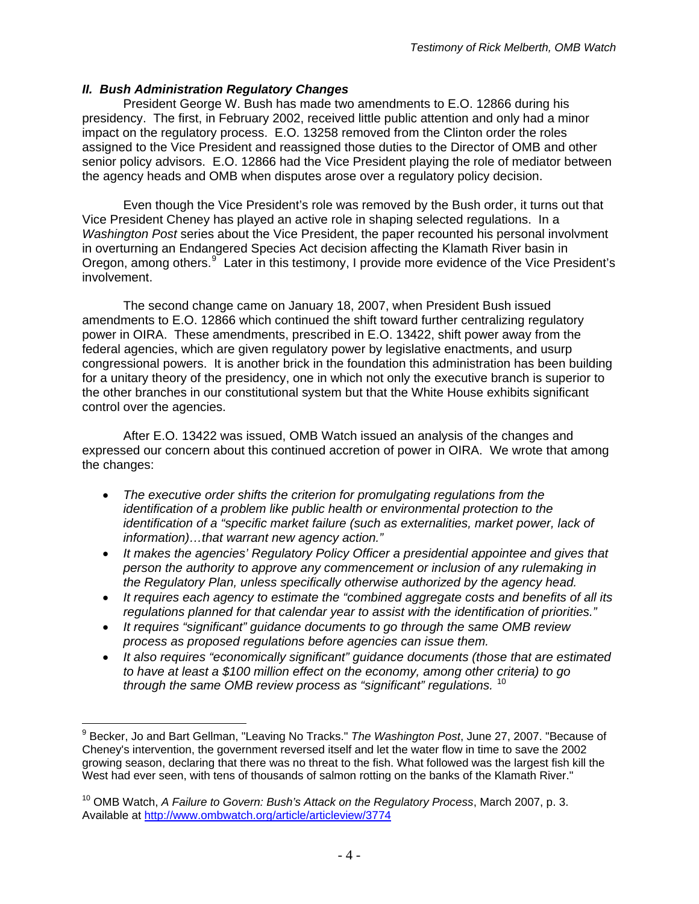## *II. Bush Administration Regulatory Changes*

 President George W. Bush has made two amendments to E.O. 12866 during his presidency. The first, in February 2002, received little public attention and only had a minor impact on the regulatory process. E.O. 13258 removed from the Clinton order the roles assigned to the Vice President and reassigned those duties to the Director of OMB and other senior policy advisors. E.O. 12866 had the Vice President playing the role of mediator between the agency heads and OMB when disputes arose over a regulatory policy decision.

 Even though the Vice President's role was removed by the Bush order, it turns out that Vice President Cheney has played an active role in shaping selected regulations. In a *Washington Post* series about the Vice President, the paper recounted his personal involvment in overturning an Endangered Species Act decision affecting the Klamath River basin in Oregon, among others.<sup>[9](#page-3-0)</sup> Later in this testimony, I provide more evidence of the Vice President's involvement.

 The second change came on January 18, 2007, when President Bush issued amendments to E.O. 12866 which continued the shift toward further centralizing regulatory power in OIRA. These amendments, prescribed in E.O. 13422, shift power away from the federal agencies, which are given regulatory power by legislative enactments, and usurp congressional powers. It is another brick in the foundation this administration has been building for a unitary theory of the presidency, one in which not only the executive branch is superior to the other branches in our constitutional system but that the White House exhibits significant control over the agencies.

 After E.O. 13422 was issued, OMB Watch issued an analysis of the changes and expressed our concern about this continued accretion of power in OIRA. We wrote that among the changes:

- *The executive order shifts the criterion for promulgating regulations from the identification of a problem like public health or environmental protection to the identification of a "specific market failure (such as externalities, market power, lack of information)…that warrant new agency action."*
- *It makes the agencies' Regulatory Policy Officer a presidential appointee and gives that person the authority to approve any commencement or inclusion of any rulemaking in the Regulatory Plan, unless specifically otherwise authorized by the agency head.*
- *It requires each agency to estimate the "combined aggregate costs and benefits of all its regulations planned for that calendar year to assist with the identification of priorities."*
- *It requires "significant" guidance documents to go through the same OMB review process as proposed regulations before agencies can issue them.*
- *It also requires "economically significant" guidance documents (those that are estimated to have at least a \$100 million effect on the economy, among other criteria) to go through the same OMB review process as "significant" regulations.* [10](#page-3-1)

<span id="page-3-0"></span> $\overline{a}$ 9 Becker, Jo and Bart Gellman, "Leaving No Tracks." *The Washington Post*, June 27, 2007. "Because of Cheney's intervention, the government reversed itself and let the water flow in time to save the 2002 growing season, declaring that there was no threat to the fish. What followed was the largest fish kill the West had ever seen, with tens of thousands of salmon rotting on the banks of the Klamath River."

<span id="page-3-1"></span><sup>10</sup> OMB Watch, *A Failure to Govern: Bush's Attack on the Regulatory Process*, March 2007, p. 3. Available at<http://www.ombwatch.org/article/articleview/3774>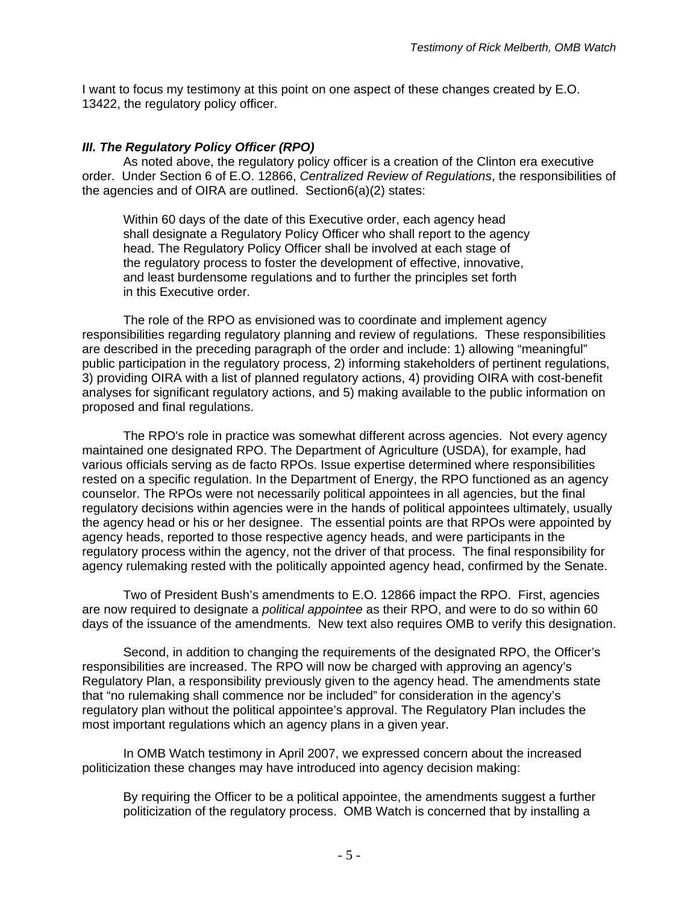I want to focus my testimony at this point on one aspect of these changes created by E.O. 13422, the regulatory policy officer.

## *III. The Regulatory Policy Officer (RPO)*

 As noted above, the regulatory policy officer is a creation of the Clinton era executive order. Under Section 6 of E.O. 12866, *Centralized Review of Regulations*, the responsibilities of the agencies and of OIRA are outlined. Section6(a)(2) states:

Within 60 days of the date of this Executive order, each agency head shall designate a Regulatory Policy Officer who shall report to the agency head. The Regulatory Policy Officer shall be involved at each stage of the regulatory process to foster the development of effective, innovative, and least burdensome regulations and to further the principles set forth in this Executive order.

The role of the RPO as envisioned was to coordinate and implement agency responsibilities regarding regulatory planning and review of regulations. These responsibilities are described in the preceding paragraph of the order and include: 1) allowing "meaningful" public participation in the regulatory process, 2) informing stakeholders of pertinent regulations, 3) providing OIRA with a list of planned regulatory actions, 4) providing OIRA with cost-benefit analyses for significant regulatory actions, and 5) making available to the public information on proposed and final regulations.

The RPO's role in practice was somewhat different across agencies. Not every agency maintained one designated RPO. The Department of Agriculture (USDA), for example, had various officials serving as de facto RPOs. Issue expertise determined where responsibilities rested on a specific regulation. In the Department of Energy, the RPO functioned as an agency counselor. The RPOs were not necessarily political appointees in all agencies, but the final regulatory decisions within agencies were in the hands of political appointees ultimately, usually the agency head or his or her designee. The essential points are that RPOs were appointed by agency heads, reported to those respective agency heads, and were participants in the regulatory process within the agency, not the driver of that process. The final responsibility for agency rulemaking rested with the politically appointed agency head, confirmed by the Senate.

Two of President Bush's amendments to E.O. 12866 impact the RPO. First, agencies are now required to designate a *political appointee* as their RPO, and were to do so within 60 days of the issuance of the amendments. New text also requires OMB to verify this designation.

Second, in addition to changing the requirements of the designated RPO, the Officer's responsibilities are increased. The RPO will now be charged with approving an agency's Regulatory Plan, a responsibility previously given to the agency head. The amendments state that "no rulemaking shall commence nor be included" for consideration in the agency's regulatory plan without the political appointee's approval. The Regulatory Plan includes the most important regulations which an agency plans in a given year.

In OMB Watch testimony in April 2007, we expressed concern about the increased politicization these changes may have introduced into agency decision making:

By requiring the Officer to be a political appointee, the amendments suggest a further politicization of the regulatory process. OMB Watch is concerned that by installing a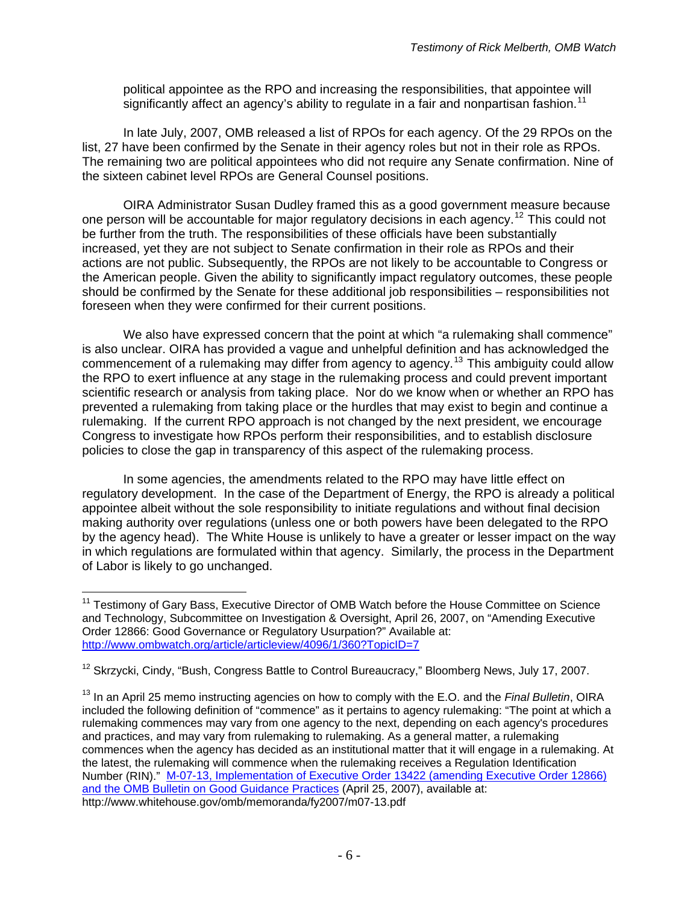political appointee as the RPO and increasing the responsibilities, that appointee will significantly affect an agency's ability to regulate in a fair and nonpartisan fashion.<sup>[11](#page-5-0)</sup>

In late July, 2007, OMB released a list of RPOs for each agency. Of the 29 RPOs on the list, 27 have been confirmed by the Senate in their agency roles but not in their role as RPOs. The remaining two are political appointees who did not require any Senate confirmation. Nine of the sixteen cabinet level RPOs are General Counsel positions.

OIRA Administrator Susan Dudley framed this as a good government measure because one person will be accountable for major regulatory decisions in each agency.<sup>[12](#page-5-1)</sup> This could not be further from the truth. The responsibilities of these officials have been substantially increased, yet they are not subject to Senate confirmation in their role as RPOs and their actions are not public. Subsequently, the RPOs are not likely to be accountable to Congress or the American people. Given the ability to significantly impact regulatory outcomes, these people should be confirmed by the Senate for these additional job responsibilities – responsibilities not foreseen when they were confirmed for their current positions.

We also have expressed concern that the point at which "a rulemaking shall commence" is also unclear. OIRA has provided a vague and unhelpful definition and has acknowledged the commencement of a rulemaking may differ from agency to agency.<sup>[13](#page-5-2)</sup> This ambiguity could allow the RPO to exert influence at any stage in the rulemaking process and could prevent important scientific research or analysis from taking place. Nor do we know when or whether an RPO has prevented a rulemaking from taking place or the hurdles that may exist to begin and continue a rulemaking. If the current RPO approach is not changed by the next president, we encourage Congress to investigate how RPOs perform their responsibilities, and to establish disclosure policies to close the gap in transparency of this aspect of the rulemaking process.

In some agencies, the amendments related to the RPO may have little effect on regulatory development. In the case of the Department of Energy, the RPO is already a political appointee albeit without the sole responsibility to initiate regulations and without final decision making authority over regulations (unless one or both powers have been delegated to the RPO by the agency head). The White House is unlikely to have a greater or lesser impact on the way in which regulations are formulated within that agency. Similarly, the process in the Department of Labor is likely to go unchanged.

<span id="page-5-0"></span><sup>&</sup>lt;sup>11</sup> Testimony of Gary Bass, Executive Director of OMB Watch before the House Committee on Science and Technology, Subcommittee on Investigation & Oversight, April 26, 2007, on "Amending Executive Order 12866: Good Governance or Regulatory Usurpation?" Available at: <http://www.ombwatch.org/article/articleview/4096/1/360?TopicID=7>

<span id="page-5-1"></span><sup>&</sup>lt;sup>12</sup> Skrzycki. Cindy, "Bush, Congress Battle to Control Bureaucracy," Bloomberg News, July 17, 2007.

<span id="page-5-2"></span><sup>13</sup> In an April 25 memo instructing agencies on how to comply with the E.O. and the *Final Bulletin*, OIRA included the following definition of "commence" as it pertains to agency rulemaking: "The point at which a rulemaking commences may vary from one agency to the next, depending on each agency's procedures and practices, and may vary from rulemaking to rulemaking. As a general matter, a rulemaking commences when the agency has decided as an institutional matter that it will engage in a rulemaking. At the latest, the rulemaking will commence when the rulemaking receives a Regulation Identification Number (RIN)." [M-07-13, Implementation of Executive Order 13422 \(amending Executive Order 12866\)](http://www.whitehouse.gov/omb/memoranda/fy2007/m07-13.pdf)  [and the OMB Bulletin on Good Guidance Practices](http://www.whitehouse.gov/omb/memoranda/fy2007/m07-13.pdf) (April 25, 2007), available at: http://www.whitehouse.gov/omb/memoranda/fy2007/m07-13.pdf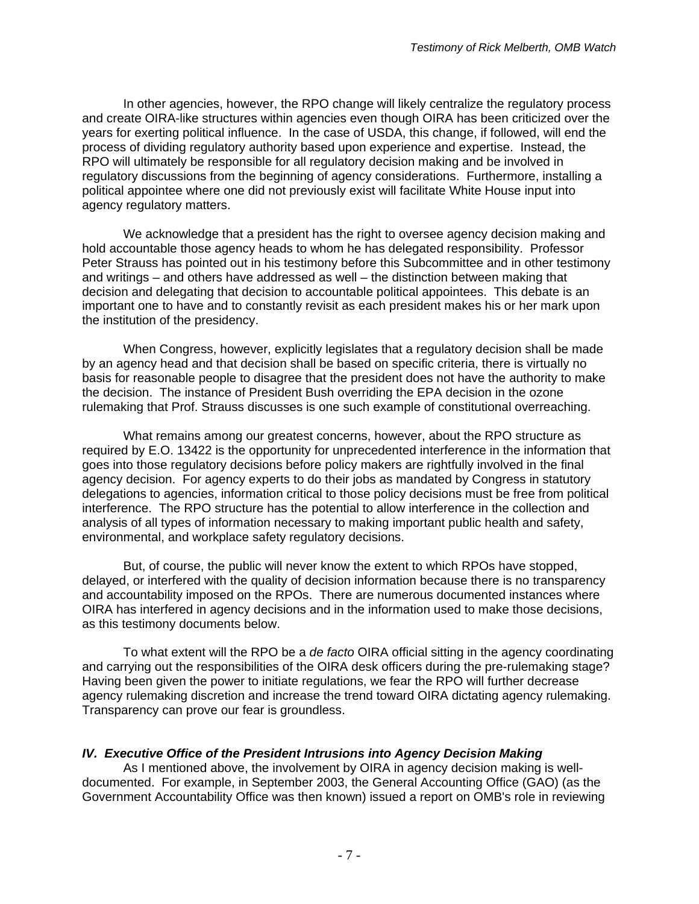In other agencies, however, the RPO change will likely centralize the regulatory process and create OIRA-like structures within agencies even though OIRA has been criticized over the years for exerting political influence. In the case of USDA, this change, if followed, will end the process of dividing regulatory authority based upon experience and expertise. Instead, the RPO will ultimately be responsible for all regulatory decision making and be involved in regulatory discussions from the beginning of agency considerations. Furthermore, installing a political appointee where one did not previously exist will facilitate White House input into agency regulatory matters.

We acknowledge that a president has the right to oversee agency decision making and hold accountable those agency heads to whom he has delegated responsibility. Professor Peter Strauss has pointed out in his testimony before this Subcommittee and in other testimony and writings – and others have addressed as well – the distinction between making that decision and delegating that decision to accountable political appointees. This debate is an important one to have and to constantly revisit as each president makes his or her mark upon the institution of the presidency.

When Congress, however, explicitly legislates that a regulatory decision shall be made by an agency head and that decision shall be based on specific criteria, there is virtually no basis for reasonable people to disagree that the president does not have the authority to make the decision. The instance of President Bush overriding the EPA decision in the ozone rulemaking that Prof. Strauss discusses is one such example of constitutional overreaching.

What remains among our greatest concerns, however, about the RPO structure as required by E.O. 13422 is the opportunity for unprecedented interference in the information that goes into those regulatory decisions before policy makers are rightfully involved in the final agency decision. For agency experts to do their jobs as mandated by Congress in statutory delegations to agencies, information critical to those policy decisions must be free from political interference. The RPO structure has the potential to allow interference in the collection and analysis of all types of information necessary to making important public health and safety, environmental, and workplace safety regulatory decisions.

But, of course, the public will never know the extent to which RPOs have stopped, delayed, or interfered with the quality of decision information because there is no transparency and accountability imposed on the RPOs. There are numerous documented instances where OIRA has interfered in agency decisions and in the information used to make those decisions, as this testimony documents below.

To what extent will the RPO be a *de facto* OIRA official sitting in the agency coordinating and carrying out the responsibilities of the OIRA desk officers during the pre-rulemaking stage? Having been given the power to initiate regulations, we fear the RPO will further decrease agency rulemaking discretion and increase the trend toward OIRA dictating agency rulemaking. Transparency can prove our fear is groundless.

# *IV. Executive Office of the President Intrusions into Agency Decision Making*

 As I mentioned above, the involvement by OIRA in agency decision making is welldocumented. For example, in September 2003, the General Accounting Office (GAO) (as the Government Accountability Office was then known) issued a report on OMB's role in reviewing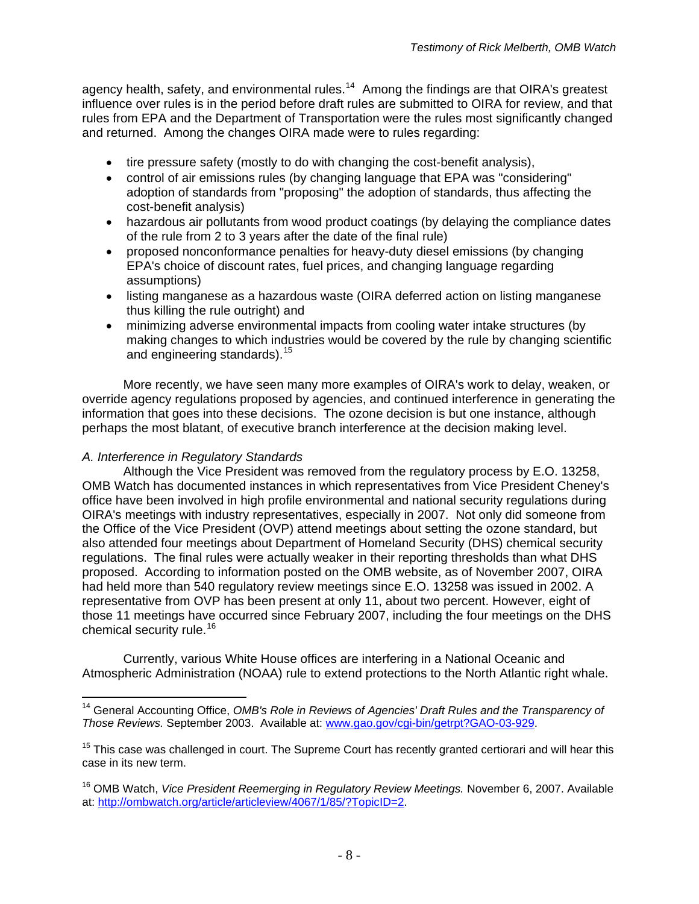agency health, safety, and environmental rules.<sup>[14](#page-7-0)</sup> Among the findings are that OIRA's greatest influence over rules is in the period before draft rules are submitted to OIRA for review, and that rules from EPA and the Department of Transportation were the rules most significantly changed and returned. Among the changes OIRA made were to rules regarding:

- tire pressure safety (mostly to do with changing the cost-benefit analysis),
- control of air emissions rules (by changing language that EPA was "considering" adoption of standards from "proposing" the adoption of standards, thus affecting the cost-benefit analysis)
- hazardous air pollutants from wood product coatings (by delaying the compliance dates of the rule from 2 to 3 years after the date of the final rule)
- proposed nonconformance penalties for heavy-duty diesel emissions (by changing EPA's choice of discount rates, fuel prices, and changing language regarding assumptions)
- listing manganese as a hazardous waste (OIRA deferred action on listing manganese thus killing the rule outright) and
- minimizing adverse environmental impacts from cooling water intake structures (by making changes to which industries would be covered by the rule by changing scientific and engineering standards).<sup>[15](#page-7-1)</sup>

More recently, we have seen many more examples of OIRA's work to delay, weaken, or override agency regulations proposed by agencies, and continued interference in generating the information that goes into these decisions. The ozone decision is but one instance, although perhaps the most blatant, of executive branch interference at the decision making level.

## *A. Interference in Regulatory Standards*

Although the Vice President was removed from the regulatory process by E.O. 13258, OMB Watch has documented instances in which representatives from Vice President Cheney's office have been involved in high profile environmental and national security regulations during OIRA's meetings with industry representatives, especially in 2007. Not only did someone from the Office of the Vice President (OVP) attend meetings about setting the ozone standard, but also attended four meetings about Department of Homeland Security (DHS) chemical security regulations. The final rules were actually weaker in their reporting thresholds than what DHS proposed. According to information posted on the OMB website, as of November 2007, OIRA had held more than 540 regulatory review meetings since E.O. 13258 was issued in 2002. A representative from OVP has been present at only 11, about two percent. However, eight of those 11 meetings have occurred since February 2007, including the four meetings on the DHS chemical security rule.<sup>[16](#page-7-2)</sup>

Currently, various White House offices are interfering in a National Oceanic and Atmospheric Administration (NOAA) rule to extend protections to the North Atlantic right whale.

<span id="page-7-0"></span> $\overline{a}$ <sup>14</sup> General Accounting Office, *OMB's Role in Reviews of Agencies' Draft Rules and the Transparency of Those Reviews.* September 2003. Available at: [www.gao.gov/cgi-bin/getrpt?GAO-03-929](http://www.gao.gov/cgi-bin/getrpt?GAO-03-929).

<span id="page-7-1"></span><sup>&</sup>lt;sup>15</sup> This case was challenged in court. The Supreme Court has recently granted certiorari and will hear this case in its new term.

<span id="page-7-2"></span><sup>16</sup> OMB Watch, *Vice President Reemerging in Regulatory Review Meetings.* November 6, 2007. Available at: <http://ombwatch.org/article/articleview/4067/1/85/?TopicID=2>.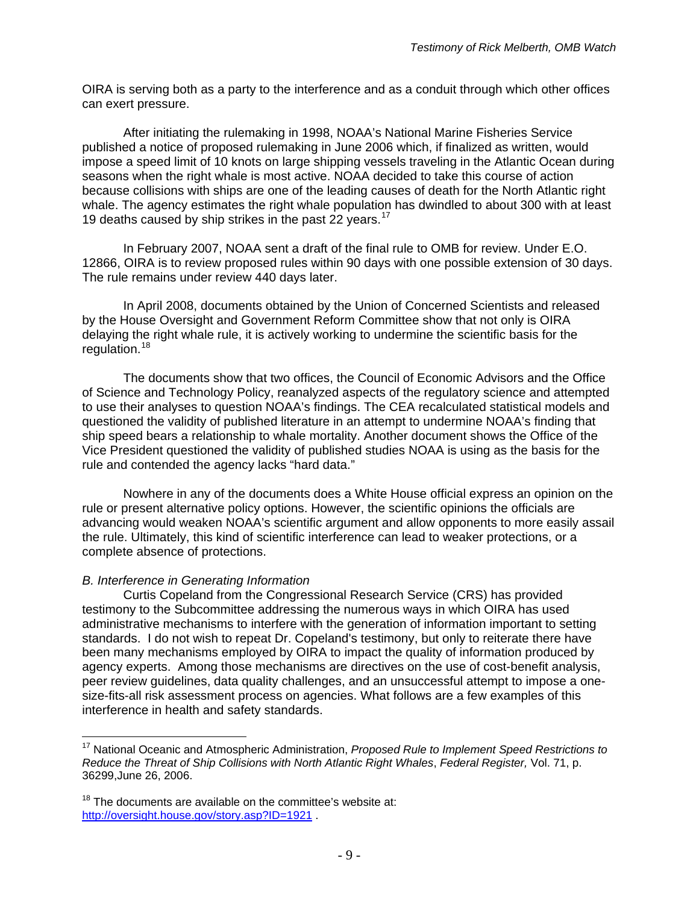OIRA is serving both as a party to the interference and as a conduit through which other offices can exert pressure.

After initiating the rulemaking in 1998, NOAA's National Marine Fisheries Service published a notice of proposed rulemaking in June 2006 which, if finalized as written, would impose a speed limit of 10 knots on large shipping vessels traveling in the Atlantic Ocean during seasons when the right whale is most active. NOAA decided to take this course of action because collisions with ships are one of the leading causes of death for the North Atlantic right whale. The agency estimates the right whale population has dwindled to about 300 with at least 19 deaths caused by ship strikes in the past 22 years.<sup>[17](#page-8-0)</sup>

 In February 2007, NOAA sent a draft of the final rule to OMB for review. Under E.O. 12866, OIRA is to review proposed rules within 90 days with one possible extension of 30 days. The rule remains under review 440 days later.

In April 2008, documents obtained by the Union of Concerned Scientists and released by the House Oversight and Government Reform Committee show that not only is OIRA delaying the right whale rule, it is actively working to undermine the scientific basis for the regulation.<sup>[18](#page-8-1)</sup>

The documents show that two offices, the Council of Economic Advisors and the Office of Science and Technology Policy, reanalyzed aspects of the regulatory science and attempted to use their analyses to question NOAA's findings. The CEA recalculated statistical models and questioned the validity of published literature in an attempt to undermine NOAA's finding that ship speed bears a relationship to whale mortality. Another document shows the Office of the Vice President questioned the validity of published studies NOAA is using as the basis for the rule and contended the agency lacks "hard data."

Nowhere in any of the documents does a White House official express an opinion on the rule or present alternative policy options. However, the scientific opinions the officials are advancing would weaken NOAA's scientific argument and allow opponents to more easily assail the rule. Ultimately, this kind of scientific interference can lead to weaker protections, or a complete absence of protections.

### *B. Interference in Generating Information*

 $\overline{a}$ 

 Curtis Copeland from the Congressional Research Service (CRS) has provided testimony to the Subcommittee addressing the numerous ways in which OIRA has used administrative mechanisms to interfere with the generation of information important to setting standards. I do not wish to repeat Dr. Copeland's testimony, but only to reiterate there have been many mechanisms employed by OIRA to impact the quality of information produced by agency experts. Among those mechanisms are directives on the use of cost-benefit analysis, peer review guidelines, data quality challenges, and an unsuccessful attempt to impose a onesize-fits-all risk assessment process on agencies. What follows are a few examples of this interference in health and safety standards.

<span id="page-8-0"></span><sup>17</sup> National Oceanic and Atmospheric Administration, *Proposed Rule to Implement Speed Restrictions to Reduce the Threat of Ship Collisions with North Atlantic Right Whales*, *Federal Register,* Vol. 71, p. 36299,June 26, 2006.

<span id="page-8-1"></span> $18$  The documents are available on the committee's website at: <http://oversight.house.gov/story.asp?ID=1921>.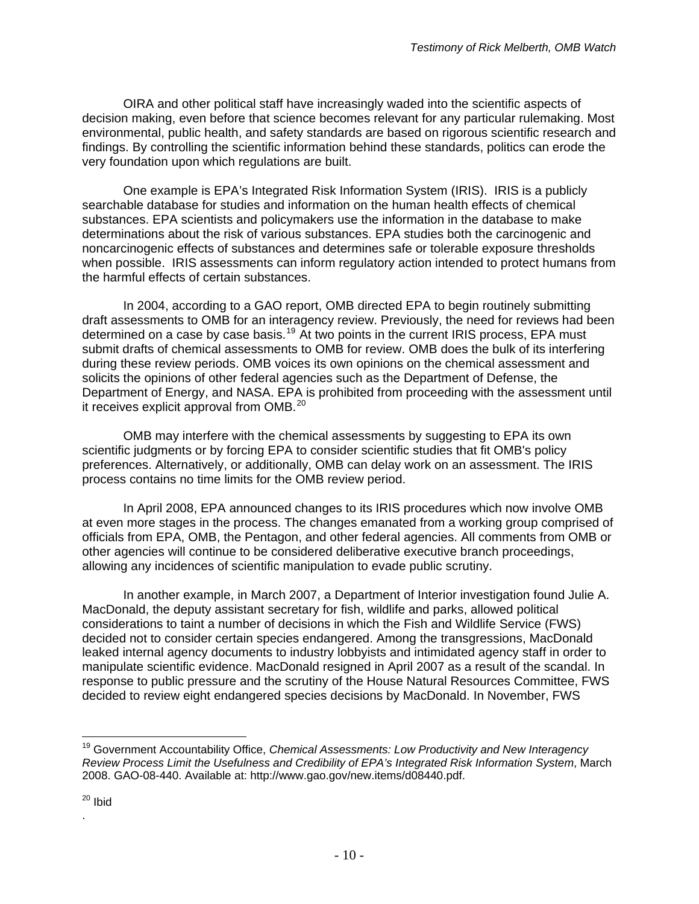OIRA and other political staff have increasingly waded into the scientific aspects of decision making, even before that science becomes relevant for any particular rulemaking. Most environmental, public health, and safety standards are based on rigorous scientific research and findings. By controlling the scientific information behind these standards, politics can erode the very foundation upon which regulations are built.

One example is EPA's Integrated Risk Information System (IRIS). IRIS is a publicly searchable database for studies and information on the human health effects of chemical substances. EPA scientists and policymakers use the information in the database to make determinations about the risk of various substances. EPA studies both the carcinogenic and noncarcinogenic effects of substances and determines safe or tolerable exposure thresholds when possible. IRIS assessments can inform regulatory action intended to protect humans from the harmful effects of certain substances.

In 2004, according to a GAO report, OMB directed EPA to begin routinely submitting draft assessments to OMB for an interagency review. Previously, the need for reviews had been determined on a case by case basis.<sup>[19](#page-9-0)</sup> At two points in the current IRIS process, EPA must submit drafts of chemical assessments to OMB for review. OMB does the bulk of its interfering during these review periods. OMB voices its own opinions on the chemical assessment and solicits the opinions of other federal agencies such as the Department of Defense, the Department of Energy, and NASA. EPA is prohibited from proceeding with the assessment until it receives explicit approval from OMB.<sup>[20](#page-9-1)</sup>

OMB may interfere with the chemical assessments by suggesting to EPA its own scientific judgments or by forcing EPA to consider scientific studies that fit OMB's policy preferences. Alternatively, or additionally, OMB can delay work on an assessment. The IRIS process contains no time limits for the OMB review period.

In April 2008, EPA announced changes to its IRIS procedures which now involve OMB at even more stages in the process. The changes emanated from a working group comprised of officials from EPA, OMB, the Pentagon, and other federal agencies. All comments from OMB or other agencies will continue to be considered deliberative executive branch proceedings, allowing any incidences of scientific manipulation to evade public scrutiny.

In another example, in March 2007, a Department of Interior investigation found Julie A. MacDonald, the deputy assistant secretary for fish, wildlife and parks, allowed political considerations to taint a number of decisions in which the Fish and Wildlife Service (FWS) decided not to consider certain species endangered. Among the transgressions, MacDonald leaked internal agency documents to industry lobbyists and intimidated agency staff in order to manipulate scientific evidence. MacDonald resigned in April 2007 as a result of the scandal. In response to public pressure and the scrutiny of the House Natural Resources Committee, FWS decided to review eight endangered species decisions by MacDonald. In November, FWS

.

<span id="page-9-0"></span><sup>19</sup> Government Accountability Office, *Chemical Assessments: Low Productivity and New Interagency Review Process Limit the Usefulness and Credibility of EPA's Integrated Risk Information System*, March 2008. GAO-08-440. Available at: http://www.gao.gov/new.items/d08440.pdf.

<span id="page-9-1"></span><sup>&</sup>lt;sup>20</sup> Ibid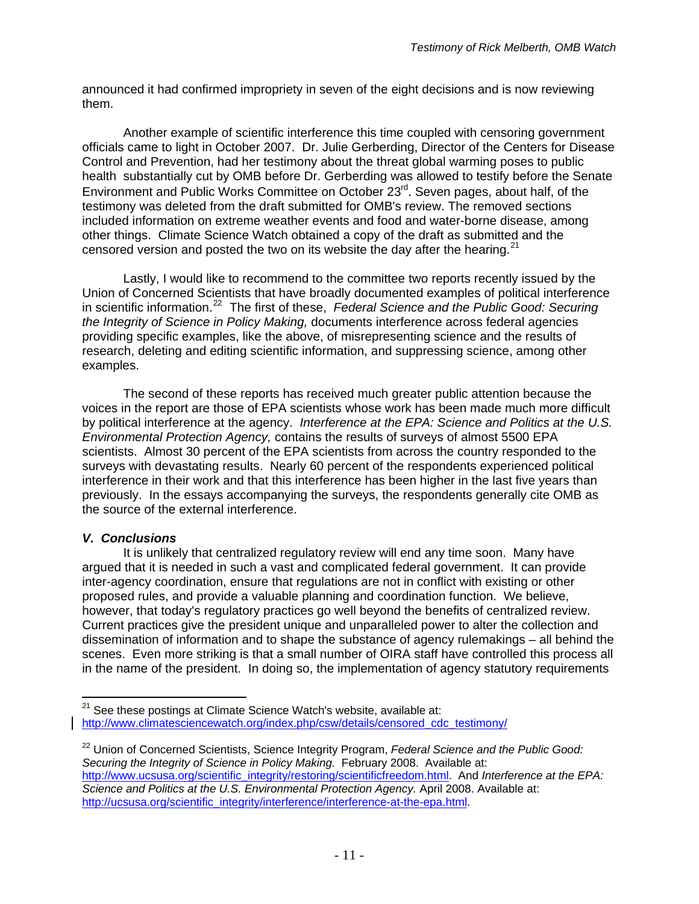announced it had confirmed impropriety in seven of the eight decisions and is now reviewing them.

 Another example of scientific interference this time coupled with censoring government officials came to light in October 2007. Dr. Julie Gerberding, Director of the Centers for Disease Control and Prevention, had her testimony about the threat global warming poses to public health substantially cut by OMB before Dr. Gerberding was allowed to testify before the Senate Environment and Public Works Committee on October 23<sup>rd</sup>. Seven pages, about half, of the testimony was deleted from the draft submitted for OMB's review. The removed sections included information on extreme weather events and food and water-borne disease, among other things. Climate Science Watch obtained a copy of the draft as submitted and the censored version and posted the two on its website the day after the hearing.<sup>[21](#page-10-0)</sup>

 Lastly, I would like to recommend to the committee two reports recently issued by the Union of Concerned Scientists that have broadly documented examples of political interference in scientific information.[22](#page-10-1) The first of these, *Federal Science and the Public Good: Securing the Integrity of Science in Policy Making,* documents interference across federal agencies providing specific examples, like the above, of misrepresenting science and the results of research, deleting and editing scientific information, and suppressing science, among other examples.

 The second of these reports has received much greater public attention because the voices in the report are those of EPA scientists whose work has been made much more difficult by political interference at the agency. *Interference at the EPA: Science and Politics at the U.S. Environmental Protection Agency,* contains the results of surveys of almost 5500 EPA scientists. Almost 30 percent of the EPA scientists from across the country responded to the surveys with devastating results. Nearly 60 percent of the respondents experienced political interference in their work and that this interference has been higher in the last five years than previously. In the essays accompanying the surveys, the respondents generally cite OMB as the source of the external interference.

### *V. Conclusions*

 It is unlikely that centralized regulatory review will end any time soon. Many have argued that it is needed in such a vast and complicated federal government. It can provide inter-agency coordination, ensure that regulations are not in conflict with existing or other proposed rules, and provide a valuable planning and coordination function. We believe, however, that today's regulatory practices go well beyond the benefits of centralized review. Current practices give the president unique and unparalleled power to alter the collection and dissemination of information and to shape the substance of agency rulemakings – all behind the scenes. Even more striking is that a small number of OIRA staff have controlled this process all in the name of the president. In doing so, the implementation of agency statutory requirements

<span id="page-10-0"></span> $\overline{a}$  $21$  See these postings at Climate Science Watch's website, available at: [http://www.climatesciencewatch.org/index.php/csw/details/censored\\_cdc\\_testimony/](http://www.climatesciencewatch.org/index.php/csw/details/censored_cdc_testimony/)

<span id="page-10-1"></span><sup>22</sup> Union of Concerned Scientists, Science Integrity Program, *Federal Science and the Public Good: Securing the Integrity of Science in Policy Making.* February 2008. Available at: [http://www.ucsusa.org/scientific\\_integrity/restoring/scientificfreedom.html](http://www.ucsusa.org/scientific_integrity/restoring/scientificfreedom.html). And *Interference at the EPA: Science and Politics at the U.S. Environmental Protection Agency.* April 2008. Available at: [http://ucsusa.org/scientific\\_integrity/interference/interference-at-the-epa.html](http://ucsusa.org/scientific_integrity/interference/interference-at-the-epa.html).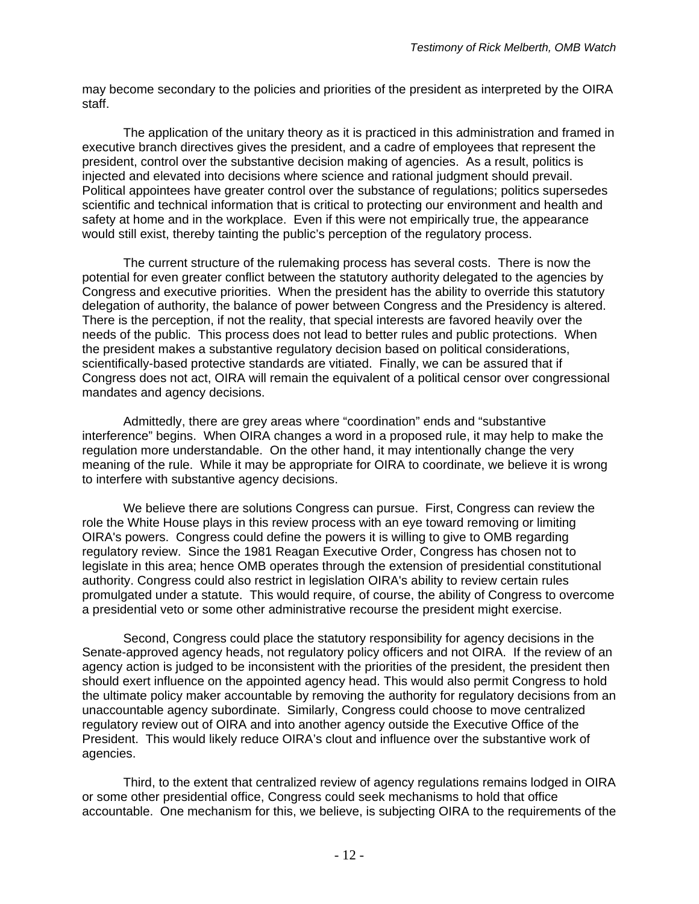may become secondary to the policies and priorities of the president as interpreted by the OIRA staff.

 The application of the unitary theory as it is practiced in this administration and framed in executive branch directives gives the president, and a cadre of employees that represent the president, control over the substantive decision making of agencies. As a result, politics is injected and elevated into decisions where science and rational judgment should prevail. Political appointees have greater control over the substance of regulations; politics supersedes scientific and technical information that is critical to protecting our environment and health and safety at home and in the workplace. Even if this were not empirically true, the appearance would still exist, thereby tainting the public's perception of the regulatory process.

 The current structure of the rulemaking process has several costs. There is now the potential for even greater conflict between the statutory authority delegated to the agencies by Congress and executive priorities. When the president has the ability to override this statutory delegation of authority, the balance of power between Congress and the Presidency is altered. There is the perception, if not the reality, that special interests are favored heavily over the needs of the public. This process does not lead to better rules and public protections. When the president makes a substantive regulatory decision based on political considerations, scientifically-based protective standards are vitiated. Finally, we can be assured that if Congress does not act, OIRA will remain the equivalent of a political censor over congressional mandates and agency decisions.

 Admittedly, there are grey areas where "coordination" ends and "substantive interference" begins. When OIRA changes a word in a proposed rule, it may help to make the regulation more understandable. On the other hand, it may intentionally change the very meaning of the rule. While it may be appropriate for OIRA to coordinate, we believe it is wrong to interfere with substantive agency decisions.

 We believe there are solutions Congress can pursue. First, Congress can review the role the White House plays in this review process with an eye toward removing or limiting OIRA's powers. Congress could define the powers it is willing to give to OMB regarding regulatory review. Since the 1981 Reagan Executive Order, Congress has chosen not to legislate in this area; hence OMB operates through the extension of presidential constitutional authority. Congress could also restrict in legislation OIRA's ability to review certain rules promulgated under a statute. This would require, of course, the ability of Congress to overcome a presidential veto or some other administrative recourse the president might exercise.

Second, Congress could place the statutory responsibility for agency decisions in the Senate-approved agency heads, not regulatory policy officers and not OIRA. If the review of an agency action is judged to be inconsistent with the priorities of the president, the president then should exert influence on the appointed agency head. This would also permit Congress to hold the ultimate policy maker accountable by removing the authority for regulatory decisions from an unaccountable agency subordinate. Similarly, Congress could choose to move centralized regulatory review out of OIRA and into another agency outside the Executive Office of the President. This would likely reduce OIRA's clout and influence over the substantive work of agencies.

Third, to the extent that centralized review of agency regulations remains lodged in OIRA or some other presidential office, Congress could seek mechanisms to hold that office accountable. One mechanism for this, we believe, is subjecting OIRA to the requirements of the